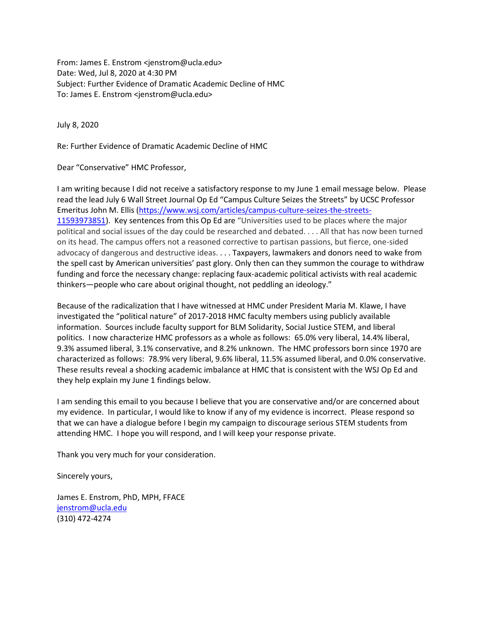From: James E. Enstrom <jenstrom@ucla.edu> Date: Wed, Jul 8, 2020 at 4:30 PM Subject: Further Evidence of Dramatic Academic Decline of HMC To: James E. Enstrom <jenstrom@ucla.edu>

July 8, 2020

Re: Further Evidence of Dramatic Academic Decline of HMC

Dear "Conservative" HMC Professor,

I am writing because I did not receive a satisfactory response to my June 1 email message below. Please read the lead July 6 Wall Street Journal Op Ed "Campus Culture Seizes the Streets" by UCSC Professor Emeritus John M. Ellis [\(https://www.wsj.com/articles/campus-culture-seizes-the-streets-](https://www.wsj.com/articles/campus-culture-seizes-the-streets-11593973851)[11593973851\)](https://www.wsj.com/articles/campus-culture-seizes-the-streets-11593973851). Key sentences from this Op Ed are "Universities used to be places where the major political and social issues of the day could be researched and debated. . . . All that has now been turned on its head. The campus offers not a reasoned corrective to partisan passions, but fierce, one-sided advocacy of dangerous and destructive ideas. . . . Taxpayers, lawmakers and donors need to wake from the spell cast by American universities' past glory. Only then can they summon the courage to withdraw funding and force the necessary change: replacing faux-academic political activists with real academic thinkers—people who care about original thought, not peddling an ideology."

Because of the radicalization that I have witnessed at HMC under President Maria M. Klawe, I have investigated the "political nature" of 2017-2018 HMC faculty members using publicly available information. Sources include faculty support for BLM Solidarity, Social Justice STEM, and liberal politics. I now characterize HMC professors as a whole as follows: 65.0% very liberal, 14.4% liberal, 9.3% assumed liberal, 3.1% conservative, and 8.2% unknown. The HMC professors born since 1970 are characterized as follows: 78.9% very liberal, 9.6% liberal, 11.5% assumed liberal, and 0.0% conservative. These results reveal a shocking academic imbalance at HMC that is consistent with the WSJ Op Ed and they help explain my June 1 findings below.

I am sending this email to you because I believe that you are conservative and/or are concerned about my evidence. In particular, I would like to know if any of my evidence is incorrect. Please respond so that we can have a dialogue before I begin my campaign to discourage serious STEM students from attending HMC. I hope you will respond, and I will keep your response private.

Thank you very much for your consideration.

Sincerely yours,

James E. Enstrom, PhD, MPH, FFACE [jenstrom@ucla.edu](mailto:jenstrom@ucla.edu) (310) 472-4274